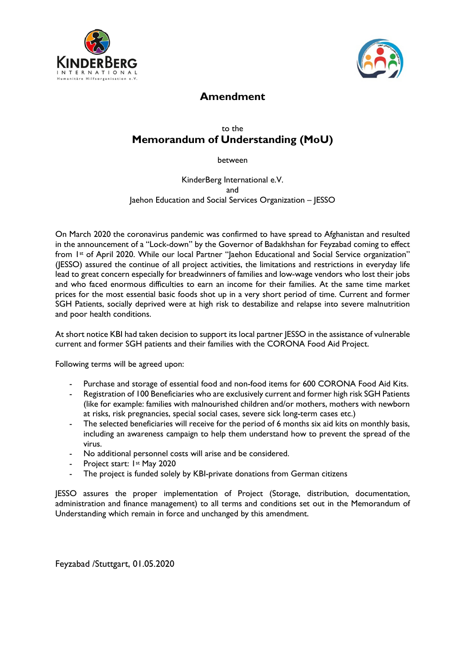



## **Amendment**

## to the **Memorandum of Understanding (MoU)**

between

KinderBerg International e.V. and Jaehon Education and Social Services Organization – JESSO

On March 2020 the coronavirus pandemic was confirmed to have spread to Afghanistan and resulted in the announcement of a "Lock-down" by the Governor of Badakhshan for Feyzabad coming to effect from 1st of April 2020. While our local Partner "Jaehon Educational and Social Service organization" (JESSO) assured the continue of all project activities, the limitations and restrictions in everyday life lead to great concern especially for breadwinners of families and low-wage vendors who lost their jobs and who faced enormous difficulties to earn an income for their families. At the same time market prices for the most essential basic foods shot up in a very short period of time. Current and former SGH Patients, socially deprived were at high risk to destabilize and relapse into severe malnutrition and poor health conditions.

At short notice KBI had taken decision to support its local partner JESSO in the assistance of vulnerable current and former SGH patients and their families with the CORONA Food Aid Project.

Following terms will be agreed upon:

- Purchase and storage of essential food and non-food items for 600 CORONA Food Aid Kits.
- Registration of 100 Beneficiaries who are exclusively current and former high risk SGH Patients (like for example: families with malnourished children and/or mothers, mothers with newborn at risks, risk pregnancies, special social cases, severe sick long-term cases etc.)
- The selected beneficiaries will receive for the period of 6 months six aid kits on monthly basis, including an awareness campaign to help them understand how to prevent the spread of the virus.
- No additional personnel costs will arise and be considered.
- Project start: 1st May 2020
- The project is funded solely by KBI-private donations from German citizens

JESSO assures the proper implementation of Project (Storage, distribution, documentation, administration and finance management) to all terms and conditions set out in the Memorandum of Understanding which remain in force and unchanged by this amendment.

Feyzabad /Stuttgart, 01.05.2020